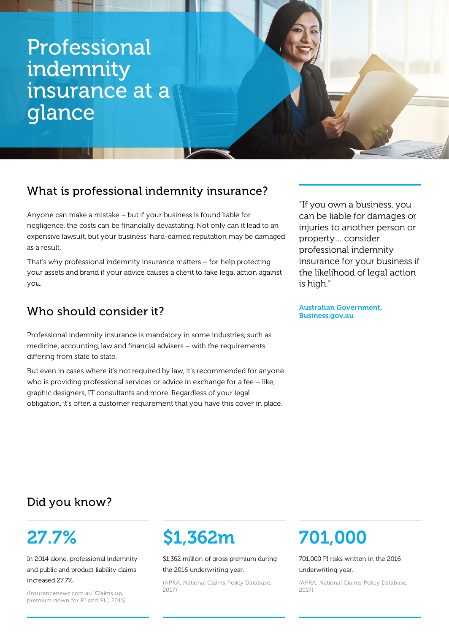## Professional indemnity insurance at a glance

### What is professional indemnity insurance?

Anyone can make a mistake – but if your business is found liable for negligence, the costs can be financially devastating. Not only can it lead to an expensive lawsuit, but your business' hard-earned reputation may be damaged as a result.

That's why professional indemnity insurance matters – for help protecting your assets and brand if your advice causes a client to take legal action against you.

### Who should consider it?

Professional indemnity insurance is mandatory in some industries, such as medicine, accounting, law and financial advisers – with the requirements differing from state to state.

But even in cases where it's not required by law, it's recommended for anyone who is providing professional services or advice in exchange for a fee – like, graphic designers, IT consultants and more. Regardless of your legal obligation, it's often a customer requirement that you have this cover in place.

"If you own a business, you can be liable for damages or injuries to another person or property… consider professional indemnity insurance for your business if the likelihood of legal action is high."

Australian Government, Business.gov.au

## Did you know?

# 27.7%

In 2014 alone, professional indemnity and public and product liability claims increased 27.7%.

(Insurancenews.com.au 'Claims up, premium down for PI and PL', 2015)

## \$1,362m

\$1,362 million of gross premium during the 2016 underwriting year.

(APRA, National Claims Policy Database, 2017)

## 701,000

701,000 PI risks written in the 2016 underwriting year.

(APRA, National Claims Policy Database, 2017)